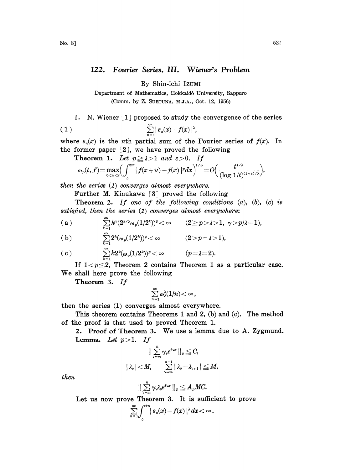## 122. Fourier Series. III. Wiener's Problem

By Shin-ichi IZUMt

Department of Mathematics, Hokkaidô University, Sapporo (Comm. by Z. SUETUNA, M.J.A., Oct. 12, 1956)

1. N. Wiener [1] proposed to study the convergence of the series

$$
(1) \qquad \qquad \sum_{n=1}^{\infty} |s_n(x)-f(x)|^{\lambda},
$$

where  $s_n(x)$  is the *n*th partial sum of the Fourier series of  $f(x)$ . In the former paper  $[2]$ , we have proved the following

Theorem 1. Let  $p \ge \lambda > 1$  and  $\varepsilon > 0$ . If

$$
\omega_p(t,f)=\max_{0
$$

then the series  $(1)$  converges almost everywhere.

Further M. Kinukawa [3] proved the following

**Theorem 2.** If one of the following conditions  $(a)$ ,  $(b)$ ,  $(c)$  is satisfied, then the series  $(1)$  converges almost everywhere:

 $\sum_{i=1}^{\infty}k^{\mathfrak{r}}(2^{k/\lambda}\omega_p(1/2^{k}))^p<\infty \qquad (2\geq p\!>\!\lambda\!>\!1,\; \gamma\!>\!p/\lambda\!-\!1),$ 

(b) 
$$
\sum_{k=1}^{\infty} 2^k (\omega_p(1/2^k))^p < \infty \qquad (2 > p = \lambda > 1),
$$

(c) 
$$
\sum_{k=1}^{\infty} k2^k (\omega_p(1/2^k))^p < \infty \qquad (p=\lambda=2).
$$

If  $1 < p \leq 2$ , Theorem 2 contains Theorem 1 as a particular case. We shall here prove the following

Theorem 3. If

$$
\sum_{n=1}^{\infty} \omega_{\lambda}^{\lambda}(1/n) \! < \infty
$$

then the series (1) converges almost everywhere.

This theorem contains Theorems 1 and 2,  $(b)$  and  $(c)$ . The method of the proof is that used to proved Theorem 1.

2. Proof of Theorem 3. We use <sup>a</sup> lemma due to A. Zygmund. Lemma. Let  $p > 1$ . If

$$
\begin{aligned} ||\sum_{\nu=m}^n \gamma_\nu e^{i\vee x}\, ||_p\leqq C, \\ |\lambda_\nu|&
$$

then

$$
||\sum_{\nu=m}^n\gamma_{\nu}\lambda_{\nu}e^{i\nu x}\,||_p\!\leq\! A_pMC.
$$

Let us now prove Theorem 3. It is sufficient to prove

$$
\begin{aligned} &||\sum_{\mathbf{v}=\mathbf{m}}\gamma_{\mathbf{v}}\lambda_{\mathbf{v}}e^{i\mathbf{v}x}\,||_p\leqq A_pMC.\\ \text{se Theorem 3. It is suffice:}\\ &\sum_{n=1}^{\infty}\int_{0}^{2\pi}\mid s_n(x)-f(x)\mid^{\lambda}dx<\infty\,. \end{aligned}
$$